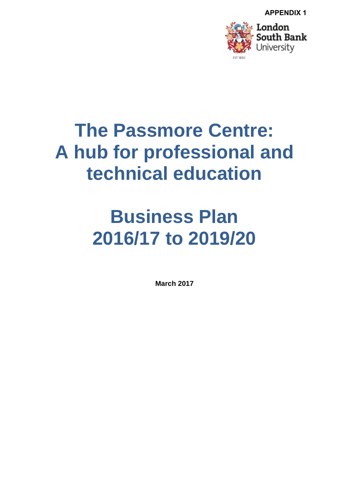

# **The Passmore Centre: A hub for professional and technical education**

# **Business Plan 2016/17 to 2019/20**

**March 2017**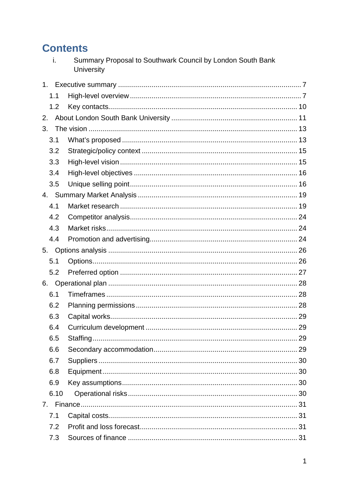# **Contents**

| Summary Proposal to Southwark Council by London South Bank |
|------------------------------------------------------------|
| University                                                 |

| 1.1  |  |
|------|--|
| 1.2  |  |
| 2.   |  |
| 3.   |  |
| 3.1  |  |
| 3.2  |  |
| 3.3  |  |
| 3.4  |  |
| 3.5  |  |
|      |  |
| 4.1  |  |
| 4.2  |  |
| 4.3  |  |
| 4.4  |  |
| 5.   |  |
| 5.1  |  |
| 5.2  |  |
| 6.   |  |
| 6.1  |  |
| 6.2  |  |
| 6.3  |  |
| 6.4  |  |
| 6.5  |  |
| 6.6  |  |
| 6.7  |  |
| 6.8  |  |
| 6.9  |  |
| 6.10 |  |
|      |  |
| 7.1  |  |
| 7.2  |  |
| 7.3  |  |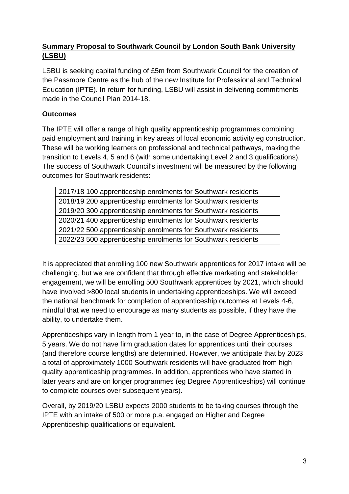### **Summary Proposal to Southwark Council by London South Bank University (LSBU)**

LSBU is seeking capital funding of £5m from Southwark Council for the creation of the Passmore Centre as the hub of the new Institute for Professional and Technical Education (IPTE). In return for funding, LSBU will assist in delivering commitments made in the Council Plan 2014-18.

#### **Outcomes**

The IPTE will offer a range of high quality apprenticeship programmes combining paid employment and training in key areas of local economic activity eg construction. These will be working learners on professional and technical pathways, making the transition to Levels 4, 5 and 6 (with some undertaking Level 2 and 3 qualifications). The success of Southwark Council's investment will be measured by the following outcomes for Southwark residents:

2017/18 100 apprenticeship enrolments for Southwark residents 2018/19 200 apprenticeship enrolments for Southwark residents 2019/20 300 apprenticeship enrolments for Southwark residents 2020/21 400 apprenticeship enrolments for Southwark residents 2021/22 500 apprenticeship enrolments for Southwark residents 2022/23 500 apprenticeship enrolments for Southwark residents

It is appreciated that enrolling 100 new Southwark apprentices for 2017 intake will be challenging, but we are confident that through effective marketing and stakeholder engagement, we will be enrolling 500 Southwark apprentices by 2021, which should have involved >800 local students in undertaking apprenticeships. We will exceed the national benchmark for completion of apprenticeship outcomes at Levels 4-6, mindful that we need to encourage as many students as possible, if they have the ability, to undertake them.

Apprenticeships vary in length from 1 year to, in the case of Degree Apprenticeships, 5 years. We do not have firm graduation dates for apprentices until their courses (and therefore course lengths) are determined. However, we anticipate that by 2023 a total of approximately 1000 Southwark residents will have graduated from high quality apprenticeship programmes. In addition, apprentices who have started in later years and are on longer programmes (eg Degree Apprenticeships) will continue to complete courses over subsequent years).

Overall, by 2019/20 LSBU expects 2000 students to be taking courses through the IPTE with an intake of 500 or more p.a. engaged on Higher and Degree Apprenticeship qualifications or equivalent.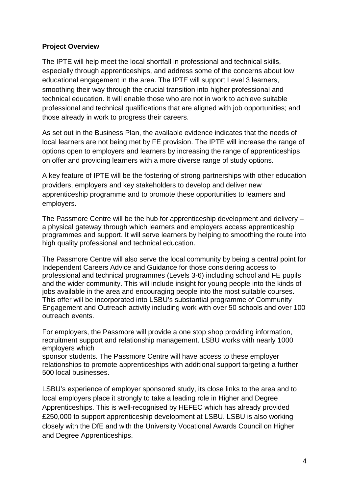#### **Project Overview**

The IPTE will help meet the local shortfall in professional and technical skills, especially through apprenticeships, and address some of the concerns about low educational engagement in the area. The IPTE will support Level 3 learners, smoothing their way through the crucial transition into higher professional and technical education. It will enable those who are not in work to achieve suitable professional and technical qualifications that are aligned with job opportunities; and those already in work to progress their careers.

As set out in the Business Plan, the available evidence indicates that the needs of local learners are not being met by FE provision. The IPTE will increase the range of options open to employers and learners by increasing the range of apprenticeships on offer and providing learners with a more diverse range of study options.

A key feature of IPTE will be the fostering of strong partnerships with other education providers, employers and key stakeholders to develop and deliver new apprenticeship programme and to promote these opportunities to learners and employers.

The Passmore Centre will be the hub for apprenticeship development and delivery – a physical gateway through which learners and employers access apprenticeship programmes and support. It will serve learners by helping to smoothing the route into high quality professional and technical education.

The Passmore Centre will also serve the local community by being a central point for Independent Careers Advice and Guidance for those considering access to professional and technical programmes (Levels 3-6) including school and FE pupils and the wider community. This will include insight for young people into the kinds of jobs available in the area and encouraging people into the most suitable courses. This offer will be incorporated into LSBU's substantial programme of Community Engagement and Outreach activity including work with over 50 schools and over 100 outreach events.

For employers, the Passmore will provide a one stop shop providing information, recruitment support and relationship management. LSBU works with nearly 1000 employers which sponsor students. The Passmore Centre will have access to these employer

relationships to promote apprenticeships with additional support targeting a further 500 local businesses.

LSBU's experience of employer sponsored study, its close links to the area and to local employers place it strongly to take a leading role in Higher and Degree Apprenticeships. This is well-recognised by HEFEC which has already provided £250,000 to support apprenticeship development at LSBU. LSBU is also working closely with the DfE and with the University Vocational Awards Council on Higher and Degree Apprenticeships.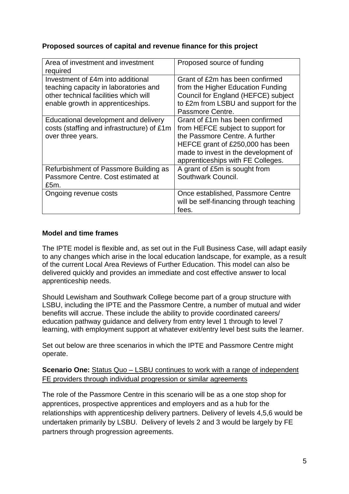#### **Proposed sources of capital and revenue finance for this project**

| Area of investment and investment<br>required                                                                                                            | Proposed source of funding                                                                                                                                                                                              |
|----------------------------------------------------------------------------------------------------------------------------------------------------------|-------------------------------------------------------------------------------------------------------------------------------------------------------------------------------------------------------------------------|
| Investment of £4m into additional<br>teaching capacity in laboratories and<br>other technical facilities which will<br>enable growth in apprenticeships. | Grant of £2m has been confirmed<br>from the Higher Education Funding<br>Council for England (HEFCE) subject<br>to £2m from LSBU and support for the<br>Passmore Centre.                                                 |
| Educational development and delivery<br>costs (staffing and infrastructure) of £1m<br>over three years.                                                  | Grant of £1m has been confirmed<br>from HEFCE subject to support for<br>the Passmore Centre, A further<br>HEFCE grant of £250,000 has been<br>made to invest in the development of<br>apprenticeships with FE Colleges. |
| Refurbishment of Passmore Building as<br>Passmore Centre, Cost estimated at<br>£5m.                                                                      | A grant of £5m is sought from<br>Southwark Council.                                                                                                                                                                     |
| Ongoing revenue costs                                                                                                                                    | Once established, Passmore Centre<br>will be self-financing through teaching<br>fees.                                                                                                                                   |

#### **Model and time frames**

The IPTE model is flexible and, as set out in the Full Business Case, will adapt easily to any changes which arise in the local education landscape, for example, as a result of the current Local Area Reviews of Further Education. This model can also be delivered quickly and provides an immediate and cost effective answer to local apprenticeship needs.

Should Lewisham and Southwark College become part of a group structure with LSBU, including the IPTE and the Passmore Centre, a number of mutual and wider benefits will accrue. These include the ability to provide coordinated careers/ education pathway guidance and delivery from entry level 1 through to level 7 learning, with employment support at whatever exit/entry level best suits the learner.

Set out below are three scenarios in which the IPTE and Passmore Centre might operate.

#### **Scenario One:** Status Quo – LSBU continues to work with a range of independent FE providers through individual progression or similar agreements

The role of the Passmore Centre in this scenario will be as a one stop shop for apprentices, prospective apprentices and employers and as a hub for the relationships with apprenticeship delivery partners. Delivery of levels 4,5,6 would be undertaken primarily by LSBU. Delivery of levels 2 and 3 would be largely by FE partners through progression agreements.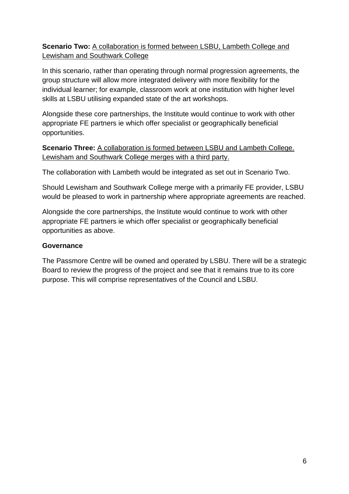#### **Scenario Two:** A collaboration is formed between LSBU, Lambeth College and Lewisham and Southwark College

In this scenario, rather than operating through normal progression agreements, the group structure will allow more integrated delivery with more flexibility for the individual learner; for example, classroom work at one institution with higher level skills at LSBU utilising expanded state of the art workshops.

Alongside these core partnerships, the Institute would continue to work with other appropriate FE partners ie which offer specialist or geographically beneficial opportunities.

**Scenario Three:** A collaboration is formed between LSBU and Lambeth College. Lewisham and Southwark College merges with a third party.

The collaboration with Lambeth would be integrated as set out in Scenario Two.

Should Lewisham and Southwark College merge with a primarily FE provider, LSBU would be pleased to work in partnership where appropriate agreements are reached.

Alongside the core partnerships, the Institute would continue to work with other appropriate FE partners ie which offer specialist or geographically beneficial opportunities as above.

#### **Governance**

The Passmore Centre will be owned and operated by LSBU. There will be a strategic Board to review the progress of the project and see that it remains true to its core purpose. This will comprise representatives of the Council and LSBU.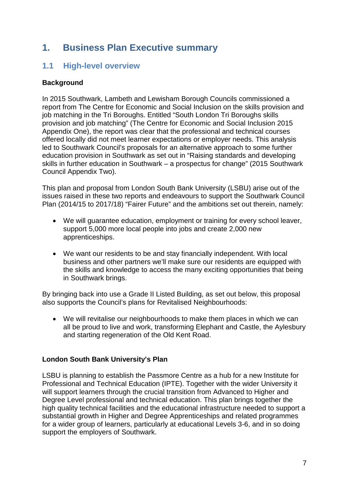# <span id="page-7-0"></span>**1. Business Plan Executive summary**

# <span id="page-7-1"></span>**1.1 High-level overview**

#### **Background**

In 2015 Southwark, Lambeth and Lewisham Borough Councils commissioned a report from The Centre for Economic and Social Inclusion on the skills provision and job matching in the Tri Boroughs. Entitled "South London Tri Boroughs skills provision and job matching" (The Centre for Economic and Social Inclusion 2015 Appendix One), the report was clear that the professional and technical courses offered locally did not meet learner expectations or employer needs. This analysis led to Southwark Council's proposals for an alternative approach to some further education provision in Southwark as set out in "Raising standards and developing skills in further education in Southwark – a prospectus for change" (2015 Southwark Council Appendix Two).

This plan and proposal from London South Bank University (LSBU) arise out of the issues raised in these two reports and endeavours to support the Southwark Council Plan (2014/15 to 2017/18) "Fairer Future" and the ambitions set out therein, namely:

- We will guarantee education, employment or training for every school leaver, support 5,000 more local people into jobs and create 2,000 new apprenticeships.
- We want our residents to be and stay financially independent. With local business and other partners we'll make sure our residents are equipped with the skills and knowledge to access the many exciting opportunities that being in Southwark brings.

By bringing back into use a Grade II Listed Building, as set out below, this proposal also supports the Council's plans for Revitalised Neighbourhoods:

• We will revitalise our neighbourhoods to make them places in which we can all be proud to live and work, transforming Elephant and Castle, the Aylesbury and starting regeneration of the Old Kent Road.

#### **London South Bank University's Plan**

LSBU is planning to establish the Passmore Centre as a hub for a new Institute for Professional and Technical Education (IPTE). Together with the wider University it will support learners through the crucial transition from Advanced to Higher and Degree Level professional and technical education. This plan brings together the high quality technical facilities and the educational infrastructure needed to support a substantial growth in Higher and Degree Apprenticeships and related programmes for a wider group of learners, particularly at educational Levels 3-6, and in so doing support the employers of Southwark.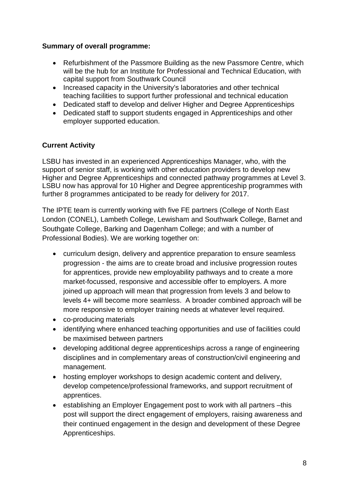#### **Summary of overall programme:**

- Refurbishment of the Passmore Building as the new Passmore Centre, which will be the hub for an Institute for Professional and Technical Education, with capital support from Southwark Council
- Increased capacity in the University's laboratories and other technical teaching facilities to support further professional and technical education
- Dedicated staff to develop and deliver Higher and Degree Apprenticeships
- Dedicated staff to support students engaged in Apprenticeships and other employer supported education.

### **Current Activity**

LSBU has invested in an experienced Apprenticeships Manager, who, with the support of senior staff, is working with other education providers to develop new Higher and Degree Apprenticeships and connected pathway programmes at Level 3. LSBU now has approval for 10 Higher and Degree apprenticeship programmes with further 8 programmes anticipated to be ready for delivery for 2017.

The IPTE team is currently working with five FE partners (College of North East London (CONEL), Lambeth College, Lewisham and Southwark College, Barnet and Southgate College, Barking and Dagenham College; and with a number of Professional Bodies). We are working together on:

- curriculum design, delivery and apprentice preparation to ensure seamless progression - the aims are to create broad and inclusive progression routes for apprentices, provide new employability pathways and to create a more market-focussed, responsive and accessible offer to employers. A more joined up approach will mean that progression from levels 3 and below to levels 4+ will become more seamless. A broader combined approach will be more responsive to employer training needs at whatever level required.
- co-producing materials
- identifying where enhanced teaching opportunities and use of facilities could be maximised between partners
- developing additional degree apprenticeships across a range of engineering disciplines and in complementary areas of construction/civil engineering and management.
- hosting employer workshops to design academic content and delivery, develop competence/professional frameworks, and support recruitment of apprentices.
- establishing an Employer Engagement post to work with all partners –this post will support the direct engagement of employers, raising awareness and their continued engagement in the design and development of these Degree Apprenticeships.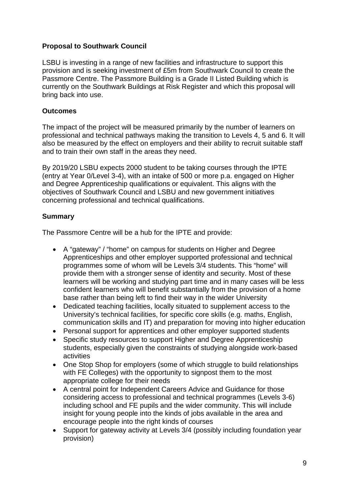#### **Proposal to Southwark Council**

LSBU is investing in a range of new facilities and infrastructure to support this provision and is seeking investment of £5m from Southwark Council to create the Passmore Centre. The Passmore Building is a Grade II Listed Building which is currently on the Southwark Buildings at Risk Register and which this proposal will bring back into use.

#### **Outcomes**

The impact of the project will be measured primarily by the number of learners on professional and technical pathways making the transition to Levels 4, 5 and 6. It will also be measured by the effect on employers and their ability to recruit suitable staff and to train their own staff in the areas they need.

By 2019/20 LSBU expects 2000 student to be taking courses through the IPTE (entry at Year 0/Level 3-4), with an intake of 500 or more p.a. engaged on Higher and Degree Apprenticeship qualifications or equivalent. This aligns with the objectives of Southwark Council and LSBU and new government initiatives concerning professional and technical qualifications.

#### **Summary**

The Passmore Centre will be a hub for the IPTE and provide:

- A "gateway" / "home" on campus for students on Higher and Degree Apprenticeships and other employer supported professional and technical programmes some of whom will be Levels 3/4 students. This "home" will provide them with a stronger sense of identity and security. Most of these learners will be working and studying part time and in many cases will be less confident learners who will benefit substantially from the provision of a home base rather than being left to find their way in the wider University
- Dedicated teaching facilities, locally situated to supplement access to the University's technical facilities, for specific core skills (e.g. maths, English, communication skills and IT) and preparation for moving into higher education
- Personal support for apprentices and other employer supported students
- Specific study resources to support Higher and Degree Apprenticeship students, especially given the constraints of studying alongside work-based activities
- One Stop Shop for employers (some of which struggle to build relationships with FE Colleges) with the opportunity to signpost them to the most appropriate college for their needs
- A central point for Independent Careers Advice and Guidance for those considering access to professional and technical programmes (Levels 3-6) including school and FE pupils and the wider community. This will include insight for young people into the kinds of jobs available in the area and encourage people into the right kinds of courses
- Support for gateway activity at Levels 3/4 (possibly including foundation year provision)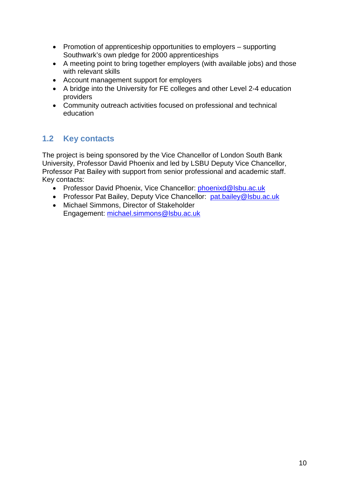- Promotion of apprenticeship opportunities to employers supporting Southwark's own pledge for 2000 apprenticeships
- A meeting point to bring together employers (with available jobs) and those with relevant skills
- Account management support for employers
- A bridge into the University for FE colleges and other Level 2-4 education providers
- Community outreach activities focused on professional and technical education

# <span id="page-10-0"></span>**1.2 Key contacts**

The project is being sponsored by the Vice Chancellor of London South Bank University, Professor David Phoenix and led by LSBU Deputy Vice Chancellor, Professor Pat Bailey with support from senior professional and academic staff. Key contacts:

- Professor David Phoenix, Vice Chancellor: [phoenixd@lsbu.ac.uk](mailto:phoenixd@lsbu.ac.uk)
- Professor Pat Bailey, Deputy Vice Chancellor: [pat.bailey@lsbu.ac.uk](mailto:pat.bailey@lsbu.ac.uk)
- Michael Simmons, Director of Stakeholder Engagement: [michael.simmons@lsbu.ac.uk](mailto:michael.simmons@lsbu.ac.uk)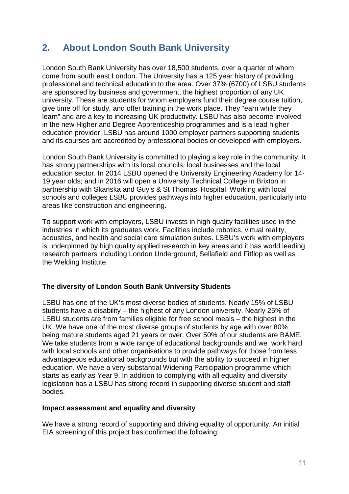# <span id="page-11-0"></span>**2. About London South Bank University**

London South Bank University has over 18,500 students, over a quarter of whom come from south east London. The University has a 125 year history of providing professional and technical education to the area. Over 37% (6700) of LSBU students are sponsored by business and government, the highest proportion of any UK university. These are students for whom employers fund their degree course tuition, give time off for study, and offer training in the work place. They "earn while they learn" and are a key to increasing UK productivity. LSBU has also become involved in the new Higher and Degree Apprenticeship programmes and is a lead higher education provider. LSBU has around 1000 employer partners supporting students and its courses are accredited by professional bodies or developed with employers.

London South Bank University is committed to playing a key role in the community. It has strong partnerships with its local councils, local businesses and the local education sector. In 2014 LSBU opened the University Engineering Academy for 14- 19 year olds; and in 2016 will open a University Technical College in Brixton in partnership with Skanska and Guy's & St Thomas' Hospital. Working with local schools and colleges LSBU provides pathways into higher education, particularly into areas like construction and engineering.

To support work with employers, LSBU invests in high quality facilities used in the industries in which its graduates work. Facilities include robotics, virtual reality, acoustics, and health and social care simulation suites. LSBU's work with employers is underpinned by high quality applied research in key areas and it has world leading research partners including London Underground, Sellafield and Fitflop as well as the Welding Institute.

#### **The diversity of London South Bank University Students**

LSBU has one of the UK's most diverse bodies of students. Nearly 15% of LSBU students have a disability – the highest of any London university. Nearly 25% of LSBU students are from families eligible for free school meals – the highest in the UK. We have one of the most diverse groups of students by age with over 80% being mature students aged 21 years or over. Over 50% of our students are BAME. We take students from a wide range of educational backgrounds and we work hard with local schools and other organisations to provide pathways for those from less advantageous educational backgrounds but with the ability to succeed in higher education. We have a very substantial Widening Participation programme which starts as early as Year 9. In addition to complying with all equality and diversity legislation has a LSBU has strong record in supporting diverse student and staff bodies.

#### **Impact assessment and equality and diversity**

We have a strong record of supporting and driving equality of opportunity. An initial EIA screening of this project has confirmed the following: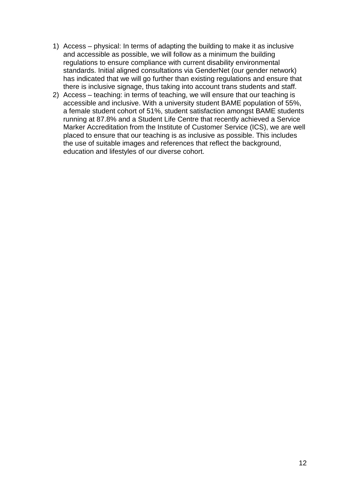- 1) Access physical: In terms of adapting the building to make it as inclusive and accessible as possible, we will follow as a minimum the building regulations to ensure compliance with current disability environmental standards. Initial aligned consultations via GenderNet (our gender network) has indicated that we will go further than existing regulations and ensure that there is inclusive signage, thus taking into account trans students and staff.
- 2) Access teaching: in terms of teaching, we will ensure that our teaching is accessible and inclusive. With a university student BAME population of 55%, a female student cohort of 51%, student satisfaction amongst BAME students running at 87.8% and a Student Life Centre that recently achieved a Service Marker Accreditation from the Institute of Customer Service (ICS), we are well placed to ensure that our teaching is as inclusive as possible. This includes the use of suitable images and references that reflect the background, education and lifestyles of our diverse cohort.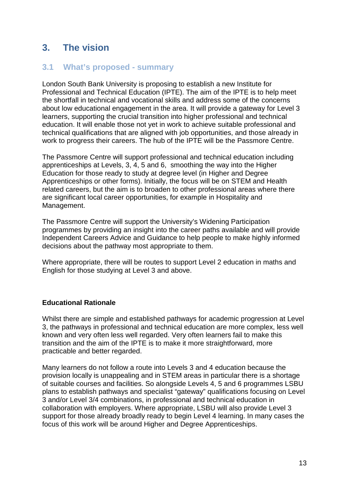# <span id="page-13-0"></span>**3. The vision**

## <span id="page-13-1"></span>**3.1 What's proposed - summary**

London South Bank University is proposing to establish a new Institute for Professional and Technical Education (IPTE). The aim of the IPTE is to help meet the shortfall in technical and vocational skills and address some of the concerns about low educational engagement in the area. It will provide a gateway for Level 3 learners, supporting the crucial transition into higher professional and technical education. It will enable those not yet in work to achieve suitable professional and technical qualifications that are aligned with job opportunities, and those already in work to progress their careers. The hub of the IPTE will be the Passmore Centre.

The Passmore Centre will support professional and technical education including apprenticeships at Levels, 3, 4, 5 and 6, smoothing the way into the Higher Education for those ready to study at degree level (in Higher and Degree Apprenticeships or other forms). Initially, the focus will be on STEM and Health related careers, but the aim is to broaden to other professional areas where there are significant local career opportunities, for example in Hospitality and Management.

The Passmore Centre will support the University's Widening Participation programmes by providing an insight into the career paths available and will provide Independent Careers Advice and Guidance to help people to make highly informed decisions about the pathway most appropriate to them.

Where appropriate, there will be routes to support Level 2 education in maths and English for those studying at Level 3 and above.

#### **Educational Rationale**

Whilst there are simple and established pathways for academic progression at Level 3, the pathways in professional and technical education are more complex, less well known and very often less well regarded. Very often learners fail to make this transition and the aim of the IPTE is to make it more straightforward, more practicable and better regarded.

Many learners do not follow a route into Levels 3 and 4 education because the provision locally is unappealing and in STEM areas in particular there is a shortage of suitable courses and facilities. So alongside Levels 4, 5 and 6 programmes LSBU plans to establish pathways and specialist "gateway" qualifications focusing on Level 3 and/or Level 3/4 combinations, in professional and technical education in collaboration with employers. Where appropriate, LSBU will also provide Level 3 support for those already broadly ready to begin Level 4 learning. In many cases the focus of this work will be around Higher and Degree Apprenticeships.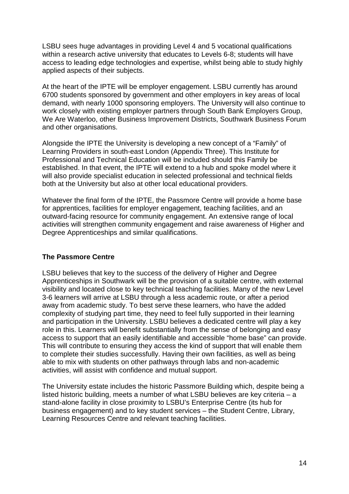LSBU sees huge advantages in providing Level 4 and 5 vocational qualifications within a research active university that educates to Levels 6-8; students will have access to leading edge technologies and expertise, whilst being able to study highly applied aspects of their subjects.

At the heart of the IPTE will be employer engagement. LSBU currently has around 6700 students sponsored by government and other employers in key areas of local demand, with nearly 1000 sponsoring employers. The University will also continue to work closely with existing employer partners through South Bank Employers Group, We Are Waterloo, other Business Improvement Districts, Southwark Business Forum and other organisations.

Alongside the IPTE the University is developing a new concept of a "Family" of Learning Providers in south-east London (Appendix Three). This Institute for Professional and Technical Education will be included should this Family be established. In that event, the IPTE will extend to a hub and spoke model where it will also provide specialist education in selected professional and technical fields both at the University but also at other local educational providers.

Whatever the final form of the IPTE, the Passmore Centre will provide a home base for apprentices, facilities for employer engagement, teaching facilities, and an outward-facing resource for community engagement. An extensive range of local activities will strengthen community engagement and raise awareness of Higher and Degree Apprenticeships and similar qualifications.

#### **The Passmore Centre**

LSBU believes that key to the success of the delivery of Higher and Degree Apprenticeships in Southwark will be the provision of a suitable centre, with external visibility and located close to key technical teaching facilities. Many of the new Level 3-6 learners will arrive at LSBU through a less academic route, or after a period away from academic study. To best serve these learners, who have the added complexity of studying part time, they need to feel fully supported in their learning and participation in the University. LSBU believes a dedicated centre will play a key role in this. Learners will benefit substantially from the sense of belonging and easy access to support that an easily identifiable and accessible "home base" can provide. This will contribute to ensuring they access the kind of support that will enable them to complete their studies successfully. Having their own facilities, as well as being able to mix with students on other pathways through labs and non-academic activities, will assist with confidence and mutual support.

The University estate includes the historic Passmore Building which, despite being a listed historic building, meets a number of what LSBU believes are key criteria – a stand-alone facility in close proximity to LSBU's Enterprise Centre (its hub for business engagement) and to key student services – the Student Centre, Library, Learning Resources Centre and relevant teaching facilities.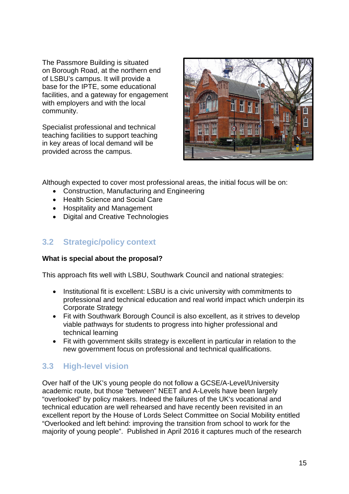The Passmore Building is situated on Borough Road, at the northern end of LSBU's campus. It will provide a base for the IPTE, some educational facilities, and a gateway for engagement with employers and with the local community.

Specialist professional and technical teaching facilities to support teaching in key areas of local demand will be provided across the campus.



Although expected to cover most professional areas, the initial focus will be on:

- Construction, Manufacturing and Engineering
- Health Science and Social Care
- Hospitality and Management
- Digital and Creative Technologies

# <span id="page-15-0"></span>**3.2 Strategic/policy context**

#### **What is special about the proposal?**

This approach fits well with LSBU, Southwark Council and national strategies:

- Institutional fit is excellent: LSBU is a civic university with commitments to professional and technical education and real world impact which underpin its Corporate Strategy
- Fit with Southwark Borough Council is also excellent, as it strives to develop viable pathways for students to progress into higher professional and technical learning
- Fit with government skills strategy is excellent in particular in relation to the new government focus on professional and technical qualifications.

# <span id="page-15-1"></span>**3.3 High-level vision**

Over half of the UK's young people do not follow a GCSE/A-Level/University academic route, but those "between" NEET and A-Levels have been largely "overlooked" by policy makers. Indeed the failures of the UK's vocational and technical education are well rehearsed and have recently been revisited in an excellent report by the House of Lords Select Committee on Social Mobility entitled "Overlooked and left behind: improving the transition from school to work for the majority of young people". Published in April 2016 it captures much of the research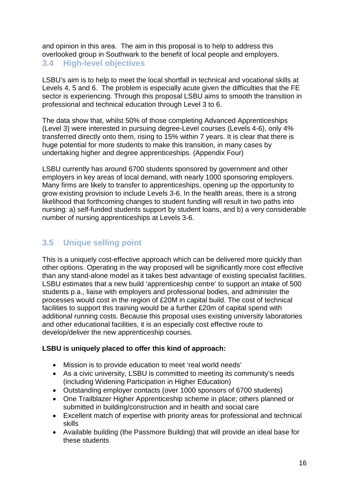<span id="page-16-0"></span>and opinion in this area. The aim in this proposal is to help to address this overlooked group in Southwark to the benefit of local people and employers. **3.4 High-level objectives**

LSBU's aim is to help to meet the local shortfall in technical and vocational skills at Levels 4, 5 and 6. The problem is especially acute given the difficulties that the FE sector is experiencing. Through this proposal LSBU aims to smooth the transition in professional and technical education through Level 3 to 6.

The data show that, whilst 50% of those completing Advanced Apprenticeships (Level 3) were interested in pursuing degree-Level courses (Levels 4-6), only 4% transferred directly onto them, rising to 15% within 7 years. It is clear that there is huge potential for more students to make this transition, in many cases by undertaking higher and degree apprenticeships. (Appendix Four)

LSBU currently has around 6700 students sponsored by government and other employers in key areas of local demand, with nearly 1000 sponsoring employers. Many firms are likely to transfer to apprenticeships, opening up the opportunity to grow existing provision to include Levels 3-6. In the health areas, there is a strong likelihood that forthcoming changes to student funding will result in two paths into nursing: a) self-funded students support by student loans, and b) a very considerable number of nursing apprenticeships at Levels 3-6.

# <span id="page-16-1"></span>**3.5 Unique selling point**

This is a uniquely cost-effective approach which can be delivered more quickly than other options. Operating in the way proposed will be significantly more cost effective than any stand-alone model as it takes best advantage of existing specialist facilities. LSBU estimates that a new build 'apprenticeship centre' to support an intake of 500 students p.a., liaise with employers and professional bodies, and administer the processes would cost in the region of £20M in capital build. The cost of technical facilities to support this training would be a further £20m of capital spend with additional running costs. Because this proposal uses existing university laboratories and other educational facilities, it is an especially cost effective route to develop/deliver the new apprenticeship courses.

#### **LSBU is uniquely placed to offer this kind of approach:**

- Mission is to provide education to meet 'real world needs'
- As a civic university, LSBU is committed to meeting its community's needs (including Widening Participation in Higher Education)
- Outstanding employer contacts (over 1000 sponsors of 6700 students)
- One Trailblazer Higher Apprenticeship scheme in place; others planned or submitted in building/construction and in health and social care
- Excellent match of expertise with priority areas for professional and technical skills
- Available building (the Passmore Building) that will provide an ideal base for these students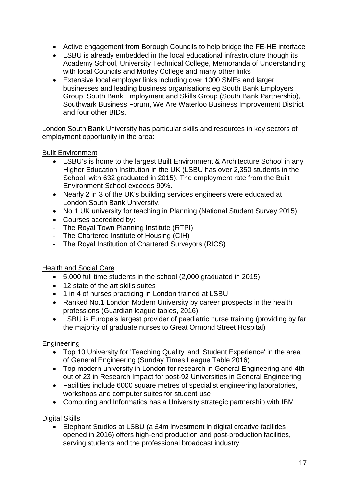- Active engagement from Borough Councils to help bridge the FE-HE interface
- LSBU is already embedded in the local educational infrastructure though its Academy School, University Technical College, Memoranda of Understanding with local Councils and Morley College and many other links
- Extensive local employer links including over 1000 SMEs and larger businesses and leading business organisations eg South Bank Employers Group, South Bank Employment and Skills Group (South Bank Partnership), Southwark Business Forum, We Are Waterloo Business Improvement District and four other BIDs.

London South Bank University has particular skills and resources in key sectors of employment opportunity in the area:

Built Environment

- LSBU's is home to the largest Built Environment & Architecture School in any Higher Education Institution in the UK (LSBU has over 2,350 students in the School, with 632 graduated in 2015). The employment rate from the Built Environment School exceeds 90%.
- Nearly 2 in 3 of the UK's building services engineers were educated at London South Bank University.
- No 1 UK university for teaching in Planning (National Student Survey 2015)
- Courses accredited by:
- The Royal Town Planning Institute (RTPI)
- The Chartered Institute of Housing (CIH)
- The Royal Institution of Chartered Surveyors (RICS)

#### Health and Social Care

- 5,000 full time students in the school (2,000 graduated in 2015)
- 12 state of the art skills suites
- 1 in 4 of nurses practicing in London trained at LSBU
- Ranked No.1 London Modern University by career prospects in the health professions (Guardian league tables, 2016)
- LSBU is Europe's largest provider of paediatric nurse training (providing by far the majority of graduate nurses to Great Ormond Street Hospital)

#### **Engineering**

- Top 10 University for 'Teaching Quality' and 'Student Experience' in the area of General Engineering (Sunday Times League Table 2016)
- Top modern university in London for research in General Engineering and 4th out of 23 in Research Impact for post-92 Universities in General Engineering
- Facilities include 6000 square metres of specialist engineering laboratories, workshops and computer suites for student use
- Computing and Informatics has a University strategic partnership with IBM

Digital Skills

• Elephant Studios at LSBU (a £4m investment in digital creative facilities opened in 2016) offers high-end production and post-production facilities, serving students and the professional broadcast industry.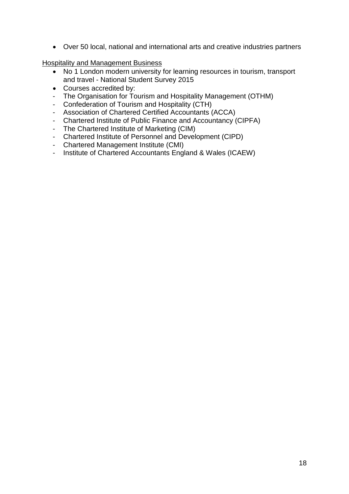• Over 50 local, national and international arts and creative industries partners

Hospitality and Management Business

- No 1 London modern university for learning resources in tourism, transport and travel - National Student Survey 2015
- Courses accredited by:
- The Organisation for Tourism and Hospitality Management (OTHM)
- Confederation of Tourism and Hospitality (CTH)
- Association of Chartered Certified Accountants (ACCA)
- Chartered Institute of Public Finance and Accountancy (CIPFA)
- The Chartered Institute of Marketing (CIM)
- Chartered Institute of Personnel and Development (CIPD)
- Chartered Management Institute (CMI)
- Institute of Chartered Accountants England & Wales (ICAEW)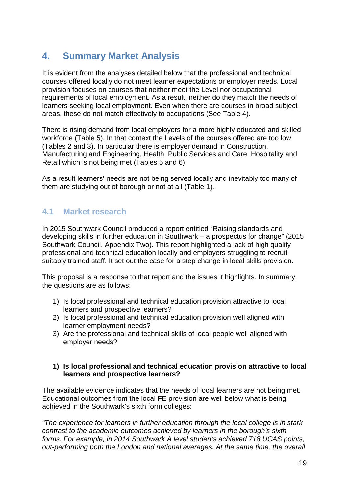# <span id="page-19-0"></span>**4. Summary Market Analysis**

It is evident from the analyses detailed below that the professional and technical courses offered locally do not meet learner expectations or employer needs. Local provision focuses on courses that neither meet the Level nor occupational requirements of local employment. As a result, neither do they match the needs of learners seeking local employment. Even when there are courses in broad subject areas, these do not match effectively to occupations (See Table 4).

There is rising demand from local employers for a more highly educated and skilled workforce (Table 5). In that context the Levels of the courses offered are too low (Tables 2 and 3). In particular there is employer demand in Construction, Manufacturing and Engineering, Health, Public Services and Care, Hospitality and Retail which is not being met (Tables 5 and 6).

As a result learners' needs are not being served locally and inevitably too many of them are studying out of borough or not at all (Table 1).

# <span id="page-19-1"></span>**4.1 Market research**

In 2015 Southwark Council produced a report entitled "Raising standards and developing skills in further education in Southwark – a prospectus for change" (2015 Southwark Council, Appendix Two). This report highlighted a lack of high quality professional and technical education locally and employers struggling to recruit suitably trained staff. It set out the case for a step change in local skills provision.

This proposal is a response to that report and the issues it highlights. In summary, the questions are as follows:

- 1) Is local professional and technical education provision attractive to local learners and prospective learners?
- 2) Is local professional and technical education provision well aligned with learner employment needs?
- 3) Are the professional and technical skills of local people well aligned with employer needs?

#### **1) Is local professional and technical education provision attractive to local learners and prospective learners?**

The available evidence indicates that the needs of local learners are not being met. Educational outcomes from the local FE provision are well below what is being achieved in the Southwark's sixth form colleges:

*"The experience for learners in further education through the local college is in stark contrast to the academic outcomes achieved by learners in the borough's sixth forms. For example, in 2014 Southwark A level students achieved 718 UCAS points, out-performing both the London and national averages. At the same time, the overall*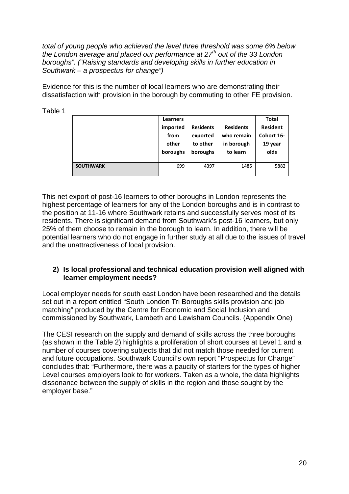*total of young people who achieved the level three threshold was some 6% below the London average and placed our performance at 27th out of the 33 London boroughs". ("Raising standards and developing skills in further education in Southwark – a prospectus for change")*

Evidence for this is the number of local learners who are demonstrating their dissatisfaction with provision in the borough by commuting to other FE provision.

|                  | <b>Learners</b><br>imported<br>from<br>other<br>boroughs | <b>Residents</b><br>exported<br>to other<br>boroughs | <b>Residents</b><br>who remain<br>in borough<br>to learn | <b>Total</b><br><b>Resident</b><br>Cohort 16-<br>19 year<br>olds |
|------------------|----------------------------------------------------------|------------------------------------------------------|----------------------------------------------------------|------------------------------------------------------------------|
| <b>SOUTHWARK</b> | 699                                                      | 4397                                                 | 1485                                                     | 5882                                                             |

This net export of post-16 learners to other boroughs in London represents the highest percentage of learners for any of the London boroughs and is in contrast to the position at 11-16 where Southwark retains and successfully serves most of its residents. There is significant demand from Southwark's post-16 learners, but only 25% of them choose to remain in the borough to learn. In addition, there will be potential learners who do not engage in further study at all due to the issues of travel and the unattractiveness of local provision.

#### **2) Is local professional and technical education provision well aligned with learner employment needs?**

Local employer needs for south east London have been researched and the details set out in a report entitled "South London Tri Boroughs skills provision and job matching" produced by the Centre for Economic and Social Inclusion and commissioned by Southwark, Lambeth and Lewisham Councils. (Appendix One)

The CESI research on the supply and demand of skills across the three boroughs (as shown in the Table 2) highlights a proliferation of short courses at Level 1 and a number of courses covering subjects that did not match those needed for current and future occupations. Southwark Council's own report "Prospectus for Change" concludes that: "Furthermore, there was a paucity of starters for the types of higher Level courses employers look to for workers. Taken as a whole, the data highlights dissonance between the supply of skills in the region and those sought by the employer base."

# Table 1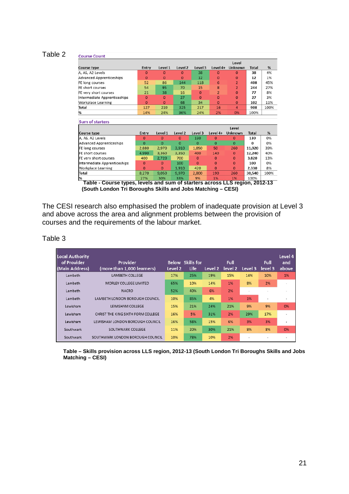#### Table 2

| <b>Course Count</b>             |                |              |                    |              |                |                |              |      |
|---------------------------------|----------------|--------------|--------------------|--------------|----------------|----------------|--------------|------|
|                                 |                |              |                    |              |                | Level          |              |      |
| Course type                     | Entry          | Level 1      | Level 2            | Level 3      | Level 4+       | Unknown        | <b>Total</b> | %    |
| A. AS, A2 Levels                | $\Omega$       | $\mathbf 0$  | $\Omega$           | 38           | $\Omega$       | $\Omega$       | 38           | 4%   |
| <b>Advanced Apprenticeships</b> | $\Omega$       | $\mathbf{O}$ | $\mathbf{O}$       | 12           | $\overline{0}$ | $\Omega$       | 12           | 1%   |
| FE long courses                 | 52             | 86           | 144                | 118          | 6              | $\overline{2}$ | 408          | 45%  |
| FE short courses                | 54             | 95           | 70                 | 15           | 8              | $\overline{2}$ | 244          | 27%  |
| FE very short courses           | 21             | 38           | 16                 | $\mathbf{O}$ | $\overline{2}$ | $\Omega$       | 77           | 8%   |
| Intermediate Apprenticeships    | $\Omega$       | $\Omega$     | 27                 | $\Omega$     | $\Omega$       | $\Omega$       | 27           | 3%   |
| Workplace Learning              | $\overline{O}$ | $\Omega$     | 68                 | 34           | $\Omega$       | $\mathbf 0$    | 102          | 11%  |
| Total                           | 127            | 219          | 325                | 217          | 16             | $\overline{a}$ | 908          | 100% |
| %                               | 14%            | 24%          | 36%                | 24%          | 2%             | 0%             | 100%         |      |
|                                 |                |              |                    |              |                |                |              |      |
| <b>Sum of starters</b>          |                |              |                    |              |                |                |              |      |
|                                 |                |              |                    |              |                | Level          |              |      |
| <b>Course type</b>              | Entry          | Level 1      | Level <sub>2</sub> | Level 3      | Level 4+       | Unknown        | <b>Total</b> | %    |
| A, AS, A2 Levels                | $\Omega$       | $\Omega$     | $\Omega$           | 130          | $\Omega$       | $\Omega$       | 130          | 0%   |
| Advanced Apprenticeships        | $\Omega$       | $\Omega$     | $\Omega$           | $\mathbf 0$  | $\Omega$       | $\Omega$       | U            | 0%   |
| FE long courses                 | 2.880          | 2.970        | 3.910              | 1.850        | 50             | 260            | 11,920       | 39%  |
| FE short courses                | 4.990          | 3.360        | 3.350              | 400          | 140            | $\Omega$       | 12,240       | 40%  |
| FE very short courses           | 400            | 2,720        | 700                | $\mathbf{0}$ | 0              | $\Omega$       | 3.820        | 13%  |
| Intermediate Apprenticeships    | $\Omega$       | $\Omega$     | 100                | $\Omega$     | $\mathbf{0}$   | $\Omega$       | 100          | 0%   |
| Workplace Learning              | $\Omega$       | $\Omega$     | 1.910              | 420          | $\Omega$       | $\Omega$       | 2,330        | 8%   |
| <b>Total</b>                    | 8,270          | 9.050        | 9.970              | 2.800        | 190            | 260            | 30.540       | 100% |
| %                               | 27%            | 30%          | 33%                | 9%           | 1%             | 1%             | 100%         |      |

**Table - Course types, levels and sum of starters across LLS region, 2012-13 (South London Tri Boroughs Skills and Jobs Matching – CESI)** 

The CESI research also emphasised the problem of inadequate provision at Level 3 and above across the area and alignment problems between the provision of courses and the requirements of the labour market.

| ∶able |  |
|-------|--|
|-------|--|

| Local Authority<br>of Provider<br>(Main Address) | Provider<br>(more than 1,000 learners) | Level 2 | <b>Below</b> Skills for<br>Life | Level 2 | Full<br>level <sub>2</sub> | Level 3 | Full<br>level 3 | Level 4<br>and<br>above |
|--------------------------------------------------|----------------------------------------|---------|---------------------------------|---------|----------------------------|---------|-----------------|-------------------------|
| Lambeth                                          | <b>LAMBETH COLLEGE</b>                 | 17%     | 25%                             | 19%     | 15%                        | 14%     | 10%             | 1%                      |
| Lambeth                                          | <b>MORLEY COLLEGE LIMITED</b>          | 65%     | 10%                             | 14%     | 1%                         | 8%      | 2%              |                         |
| Lambeth                                          | <b>NACRO</b>                           | 52%     | 40%                             | 6%      | 2%                         |         |                 |                         |
| Lambeth                                          | LAMBETH LONDON BOROUGH COUNCIL         | 10%     | 85%                             | 4%      | 1%                         | 1%      |                 |                         |
| Lewisham                                         | <b>LEWISHAM COLLEGE</b>                | 15%     | 21%                             | 24%     | 21%                        | 9%      | 9%              | 0%                      |
| Lewisham                                         | CHRIST THE KING SIXTH FORM COLLEGE     | 16%     | 5%                              | 31%     | 2%                         | 29%     | 17%             |                         |
| Lewisham                                         | LEWISHAM LONDON BOROUGH COUNCIL        | 16%     | 58%                             | 15%     | 6%                         | 3%      | 3%              |                         |
| Southwark                                        | SOUTHWARK COLLEGE                      | 11%     | 20%                             | 30%     | 21%                        | 8%      | 8%              | 0%                      |
| Southwark                                        | SOUTHWARK LONDON BOROUGH COUNCIL       | 10%     | 78%                             | 10%     | 2%                         |         |                 |                         |

**Table – Skills provision across LLS region, 2012-13 (South London Tri Boroughs Skills and Jobs Matching – CESI)**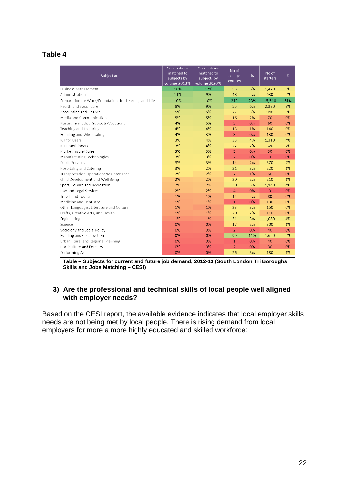#### **Table 4**

| Subject area                                           | Occupations<br>matched to<br>subjects by<br>volume 2013% | Occupations<br>matched to<br>subjects by<br>volume 2020% | No of<br>college<br>courses | %   | No of<br>starters | %   |
|--------------------------------------------------------|----------------------------------------------------------|----------------------------------------------------------|-----------------------------|-----|-------------------|-----|
| <b>Business Management</b>                             | 16%                                                      | 17%                                                      | 53                          | 6%  | 1,470             | 5%  |
| Administration                                         | 11%                                                      | 9%                                                       | 48                          | 5%  | 630               | 2%  |
| Preparation for Work/Foundations for Learning and Life | 10%                                                      | 10%                                                      | 213                         | 23% | 15,510            | 51% |
| Health and Social Care                                 | 8%                                                       | 9%                                                       | 55                          | 6%  | 2,380             | 8%  |
| Accounting and Finance                                 | 5%                                                       | 5%                                                       | 27                          | 3%  | 940               | 3%  |
| Media and Communication                                | 5%                                                       | 5%                                                       | 16                          | 2%  | 70                | 0%  |
| Nursing & medical Subjects/Vocations                   | 4%                                                       | 5%                                                       | $\overline{2}$              | 0%  | 60                | 0%  |
| Teaching and Lecturing                                 | 4%                                                       | 4%                                                       | 13                          | 1%  | 140               | 0%  |
| Retailing and Wholesaling                              | 4%                                                       | 3%                                                       | $\overline{3}$              | 0%  | 130               | 0%  |
| <b>ICT</b> for Users                                   | 3%                                                       | 4%                                                       | 33                          | 4%  | 1,310             | 4%  |
| <b>ICT Practitioners</b>                               | 3%                                                       | 4%                                                       | 22                          | 2%  | 620               | 2%  |
| Marketing and Sales                                    | 3%                                                       | 3%                                                       | 3                           | 0%  | 30                | 0%  |
| Manufacturing Technologies                             | 3%                                                       | 3%                                                       | $\overline{2}$              | 0%  | $\overline{0}$    | 0%  |
| <b>Public Services</b>                                 | 3%                                                       | 3%                                                       | 14                          | 2%  | 570               | 2%  |
| Hospitality and Catering                               | 3%                                                       | 2%                                                       | 31                          | 3%  | 220               | 1%  |
| Transportation Operations/Maintenance                  | 2%                                                       | 2%                                                       | $\overline{7}$              | 1%  | 60                | 0%  |
| Child Development and Well Being                       | 2%                                                       | 2%                                                       | 20                          | 2%  | 210               | 1%  |
| Sport, Leisure and Recreation                          | 2%                                                       | 2%                                                       | 30                          | 3%  | 1,140             | 4%  |
| Law and Legal Services                                 | 2%                                                       | 2%                                                       | 4                           | 0%  | $\overline{0}$    | 0%  |
| <b>Travel and Tourism</b>                              | 1%                                                       | 1%                                                       | 14                          | 2%  | 80                | 0%  |
| Medicine and Dentistry                                 | 1%                                                       | 1%                                                       | $\overline{1}$              | 0%  | 130               | 0%  |
| Other Languages, Literature and Culture                | 1%                                                       | 1%                                                       | 23                          | 3%  | 150               | 0%  |
| Crafts, Creative Arts, and Design                      | 1%                                                       | 1%                                                       | 20                          | 2%  | 110               | 0%  |
| Engineering                                            | 1%                                                       | 1%                                                       | 31                          | 3%  | 1,080             | 4%  |
| Science                                                | 0%                                                       | 0%                                                       | 17                          | 2%  | 300               | 1%  |
| Sociology and Social Policy                            | 0%                                                       | 0%                                                       | $\overline{2}$              | 0%  | 40                | 0%  |
| <b>Building and Construction</b>                       | 0%                                                       | 0%                                                       | 99                          | 11% | 1,650             | 5%  |
| Urban, Rural and Regional Planning                     | 0%                                                       | 0%                                                       | $\mathbf{1}$                | 0%  | 40                | 0%  |
| Horticulture and Forestry                              | 0%                                                       | 0%                                                       | $\overline{2}$              | 0%  | 30                | 0%  |
| Performing Arts                                        | 0%                                                       | 0%                                                       | 26                          | 3%  | 180               | 1%  |

**Table – Subjects for current and future job demand, 2012-13 (South London Tri Boroughs Skills and Jobs Matching – CESI)** 

#### **3) Are the professional and technical skills of local people well aligned with employer needs?**

Based on the CESI report, the available evidence indicates that local employer skills needs are not being met by local people. There is rising demand from local employers for more a more highly educated and skilled workforce: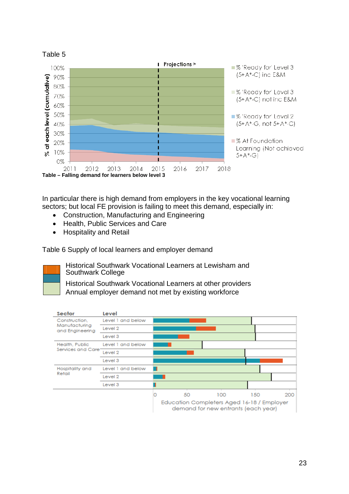

In particular there is high demand from employers in the key vocational learning sectors; but local FE provision is failing to meet this demand, especially in:

- Construction, Manufacturing and Engineering
- Health, Public Services and Care
- Hospitality and Retail

Table 6 Supply of local learners and employer demand



Historical Southwark Vocational Learners at Lewisham and Southwark College

Historical Southwark Vocational Learners at other providers Annual employer demand not met by existing workforce

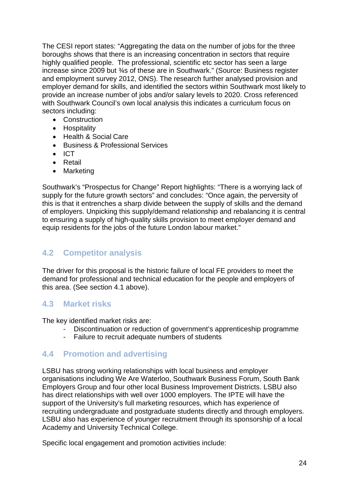The CESI report states: "Aggregating the data on the number of jobs for the three boroughs shows that there is an increasing concentration in sectors that require highly qualified people. The professional, scientific etc sector has seen a large increase since 2009 but ¾s of these are in Southwark." (Source: Business register and employment survey 2012, ONS). The research further analysed provision and employer demand for skills, and identified the sectors within Southwark most likely to provide an increase number of jobs and/or salary levels to 2020. Cross referenced with Southwark Council's own local analysis this indicates a curriculum focus on sectors including:

- Construction
- Hospitality
- Health & Social Care
- Business & Professional Services
- ICT
- Retail
- Marketing

Southwark's "Prospectus for Change" Report highlights: "There is a worrying lack of supply for the future growth sectors" and concludes: "Once again, the perversity of this is that it entrenches a sharp divide between the supply of skills and the demand of employers. Unpicking this supply/demand relationship and rebalancing it is central to ensuring a supply of high-quality skills provision to meet employer demand and equip residents for the jobs of the future London labour market."

#### <span id="page-24-0"></span>**4.2 Competitor analysis**

The driver for this proposal is the historic failure of local FE providers to meet the demand for professional and technical education for the people and employers of this area. (See section 4.1 above).

#### <span id="page-24-1"></span>**4.3 Market risks**

The key identified market risks are:

- Discontinuation or reduction of government's apprenticeship programme
- Failure to recruit adequate numbers of students

#### <span id="page-24-2"></span>**4.4 Promotion and advertising**

LSBU has strong working relationships with local business and employer organisations including We Are Waterloo, Southwark Business Forum, South Bank Employers Group and four other local Business Improvement Districts. LSBU also has direct relationships with well over 1000 employers. The IPTE will have the support of the University's full marketing resources, which has experience of recruiting undergraduate and postgraduate students directly and through employers. LSBU also has experience of younger recruitment through its sponsorship of a local Academy and University Technical College.

Specific local engagement and promotion activities include: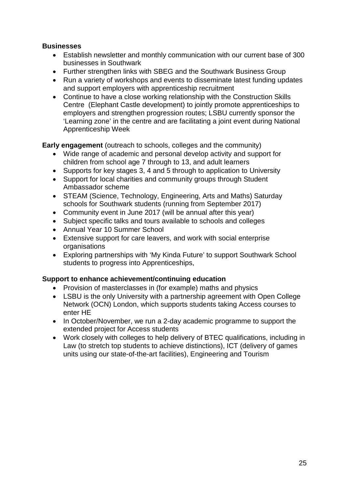#### **Businesses**

- Establish newsletter and monthly communication with our current base of 300 businesses in Southwark
- Further strengthen links with SBEG and the Southwark Business Group
- Run a variety of workshops and events to disseminate latest funding updates and support employers with apprenticeship recruitment
- Continue to have a close working relationship with the Construction Skills Centre (Elephant Castle development) to jointly promote apprenticeships to employers and strengthen progression routes; LSBU currently sponsor the 'Learning zone' in the centre and are facilitating a joint event during National Apprenticeship Week

#### **Early engagement** (outreach to schools, colleges and the community)

- Wide range of academic and personal develop activity and support for children from school age 7 through to 13, and adult learners
- Supports for key stages 3, 4 and 5 through to application to University
- Support for local charities and community groups through Student Ambassador scheme
- STEAM (Science, Technology, Engineering, Arts and Maths) Saturday schools for Southwark students (running from September 2017)
- Community event in June 2017 (will be annual after this year)
- Subject specific talks and tours available to schools and colleges
- Annual Year 10 Summer School
- Extensive support for care leavers, and work with social enterprise organisations
- Exploring partnerships with 'My Kinda Future' to support Southwark School students to progress into Apprenticeships,

#### **Support to enhance achievement/continuing education**

- Provision of masterclasses in (for example) maths and physics
- LSBU is the only University with a partnership agreement with Open College Network (OCN) London, which supports students taking Access courses to enter HE
- In October/November, we run a 2-day academic programme to support the extended project for Access students
- <span id="page-25-0"></span>• Work closely with colleges to help delivery of BTEC qualifications, including in Law (to stretch top students to achieve distinctions), ICT (delivery of games units using our state-of-the-art facilities), Engineering and Tourism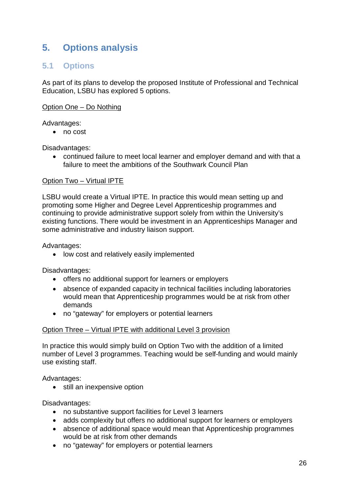# **5. Options analysis**

## <span id="page-26-0"></span>**5.1 Options**

As part of its plans to develop the proposed Institute of Professional and Technical Education, LSBU has explored 5 options.

Option One – Do Nothing

#### Advantages:

• no cost

Disadvantages:

• continued failure to meet local learner and employer demand and with that a failure to meet the ambitions of the Southwark Council Plan

#### Option Two – Virtual IPTE

LSBU would create a Virtual IPTE. In practice this would mean setting up and promoting some Higher and Degree Level Apprenticeship programmes and continuing to provide administrative support solely from within the University's existing functions. There would be investment in an Apprenticeships Manager and some administrative and industry liaison support.

Advantages:

• low cost and relatively easily implemented

Disadvantages:

- offers no additional support for learners or employers
- absence of expanded capacity in technical facilities including laboratories would mean that Apprenticeship programmes would be at risk from other demands
- no "gateway" for employers or potential learners

#### Option Three – Virtual IPTE with additional Level 3 provision

In practice this would simply build on Option Two with the addition of a limited number of Level 3 programmes. Teaching would be self-funding and would mainly use existing staff.

Advantages:

• still an inexpensive option

Disadvantages:

- no substantive support facilities for Level 3 learners
- adds complexity but offers no additional support for learners or employers
- absence of additional space would mean that Apprenticeship programmes would be at risk from other demands
- no "gateway" for employers or potential learners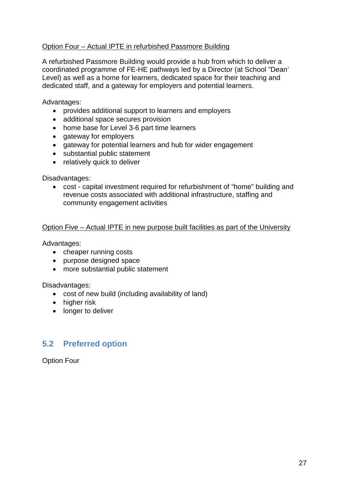#### Option Four – Actual IPTE in refurbished Passmore Building

A refurbished Passmore Building would provide a hub from which to deliver a coordinated programme of FE-HE pathways led by a Director (at School "Dean' Level) as well as a home for learners, dedicated space for their teaching and dedicated staff, and a gateway for employers and potential learners.

Advantages:

- provides additional support to learners and employers
- additional space secures provision
- home base for Level 3-6 part time learners
- gateway for employers
- gateway for potential learners and hub for wider engagement
- substantial public statement
- relatively quick to deliver

Disadvantages:

• cost - capital investment required for refurbishment of "home" building and revenue costs associated with additional infrastructure, staffing and community engagement activities

#### Option Five – Actual IPTE in new purpose built facilities as part of the University

Advantages:

- cheaper running costs
- purpose designed space
- more substantial public statement

Disadvantages:

- cost of new build (including availability of land)
- higher risk
- longer to deliver

#### <span id="page-27-0"></span>**5.2 Preferred option**

Option Four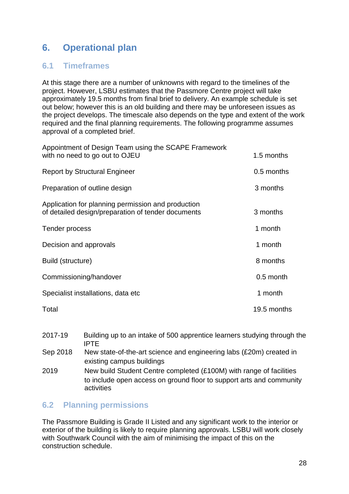# <span id="page-28-0"></span>**6. Operational plan**

### <span id="page-28-1"></span>**6.1 Timeframes**

At this stage there are a number of unknowns with regard to the timelines of the project. However, LSBU estimates that the Passmore Centre project will take approximately 19.5 months from final brief to delivery. An example schedule is set out below; however this is an old building and there may be unforeseen issues as the project develops. The timescale also depends on the type and extent of the work required and the final planning requirements. The following programme assumes approval of a completed brief.

| Appointment of Design Team using the SCAPE Framework<br>with no need to go out to OJEU                   | 1.5 months  |
|----------------------------------------------------------------------------------------------------------|-------------|
| <b>Report by Structural Engineer</b>                                                                     | 0.5 months  |
| Preparation of outline design                                                                            | 3 months    |
| Application for planning permission and production<br>of detailed design/preparation of tender documents | 3 months    |
| Tender process                                                                                           | 1 month     |
| Decision and approvals                                                                                   | 1 month     |
| Build (structure)                                                                                        | 8 months    |
| Commissioning/handover                                                                                   | 0.5 month   |
| Specialist installations, data etc                                                                       | 1 month     |
| Total                                                                                                    | 19.5 months |

- 2017-19 Building up to an intake of 500 apprentice learners studying through the IPTE
- Sep 2018 New state-of-the-art science and engineering labs (£20m) created in existing campus buildings
- 2019 New build Student Centre completed (£100M) with range of facilities to include open access on ground floor to support arts and community activities

#### <span id="page-28-2"></span>**6.2 Planning permissions**

The Passmore Building is Grade II Listed and any significant work to the interior or exterior of the building is likely to require planning approvals. LSBU will work closely with Southwark Council with the aim of minimising the impact of this on the construction schedule.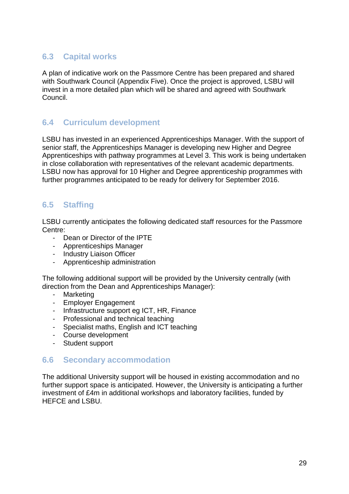# <span id="page-29-0"></span>**6.3 Capital works**

A plan of indicative work on the Passmore Centre has been prepared and shared with Southwark Council (Appendix Five). Once the project is approved, LSBU will invest in a more detailed plan which will be shared and agreed with Southwark Council.

# <span id="page-29-1"></span>**6.4 Curriculum development**

LSBU has invested in an experienced Apprenticeships Manager. With the support of senior staff, the Apprenticeships Manager is developing new Higher and Degree Apprenticeships with pathway programmes at Level 3. This work is being undertaken in close collaboration with representatives of the relevant academic departments. LSBU now has approval for 10 Higher and Degree apprenticeship programmes with further programmes anticipated to be ready for delivery for September 2016.

# <span id="page-29-2"></span>**6.5 Staffing**

LSBU currently anticipates the following dedicated staff resources for the Passmore Centre:

- Dean or Director of the IPTF
- Apprenticeships Manager
- Industry Liaison Officer
- Apprenticeship administration

The following additional support will be provided by the University centrally (with direction from the Dean and Apprenticeships Manager):

- Marketing
- Employer Engagement
- Infrastructure support eg ICT, HR, Finance
- Professional and technical teaching
- Specialist maths, English and ICT teaching
- Course development
- Student support

#### <span id="page-29-3"></span>**6.6 Secondary accommodation**

The additional University support will be housed in existing accommodation and no further support space is anticipated. However, the University is anticipating a further investment of £4m in additional workshops and laboratory facilities, funded by HEFCE and LSBU.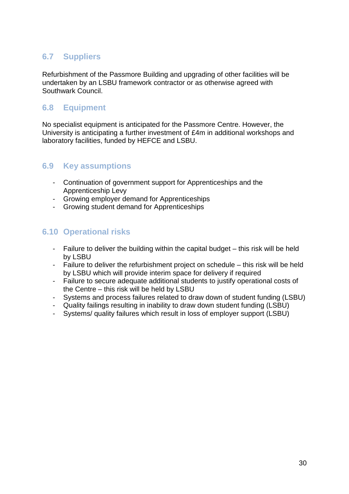# <span id="page-30-0"></span>**6.7 Suppliers**

Refurbishment of the Passmore Building and upgrading of other facilities will be undertaken by an LSBU framework contractor or as otherwise agreed with Southwark Council.

# <span id="page-30-1"></span>**6.8 Equipment**

No specialist equipment is anticipated for the Passmore Centre. However, the University is anticipating a further investment of £4m in additional workshops and laboratory facilities, funded by HEFCE and LSBU.

# <span id="page-30-2"></span>**6.9 Key assumptions**

- Continuation of government support for Apprenticeships and the Apprenticeship Levy
- Growing employer demand for Apprenticeships
- Growing student demand for Apprenticeships

# <span id="page-30-3"></span>**6.10 Operational risks**

- Failure to deliver the building within the capital budget this risk will be held by LSBU
- Failure to deliver the refurbishment project on schedule this risk will be held by LSBU which will provide interim space for delivery if required
- Failure to secure adequate additional students to justify operational costs of the Centre – this risk will be held by LSBU
- Systems and process failures related to draw down of student funding (LSBU)
- Quality failings resulting in inability to draw down student funding (LSBU)
- Systems/ quality failures which result in loss of employer support (LSBU)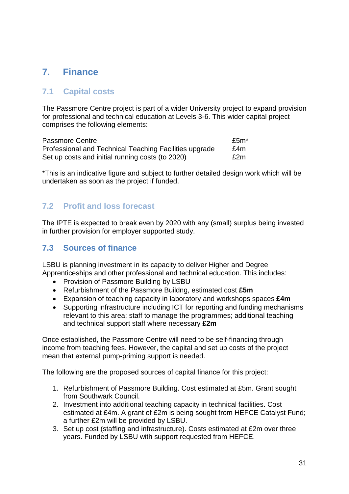# <span id="page-31-0"></span>**7. Finance**

# <span id="page-31-1"></span>**7.1 Capital costs**

The Passmore Centre project is part of a wider University project to expand provision for professional and technical education at Levels 3-6. This wider capital project comprises the following elements:

| Passmore Centre                                        | £5m* |
|--------------------------------------------------------|------|
| Professional and Technical Teaching Facilities upgrade | £4m  |
| Set up costs and initial running costs (to 2020)       | £2m  |

\*This is an indicative figure and subject to further detailed design work which will be undertaken as soon as the project if funded.

# <span id="page-31-2"></span>**7.2 Profit and loss forecast**

The IPTE is expected to break even by 2020 with any (small) surplus being invested in further provision for employer supported study.

# <span id="page-31-3"></span>**7.3 Sources of finance**

LSBU is planning investment in its capacity to deliver Higher and Degree Apprenticeships and other professional and technical education. This includes:

- Provision of Passmore Building by LSBU
- Refurbishment of the Passmore Buildng, estimated cost **£5m**
- Expansion of teaching capacity in laboratory and workshops spaces **£4m**
- Supporting infrastructure including ICT for reporting and funding mechanisms relevant to this area; staff to manage the programmes; additional teaching and technical support staff where necessary **£2m**

Once established, the Passmore Centre will need to be self-financing through income from teaching fees. However, the capital and set up costs of the project mean that external pump-priming support is needed.

The following are the proposed sources of capital finance for this project:

- 1. Refurbishment of Passmore Building. Cost estimated at £5m. Grant sought from Southwark Council.
- 2. Investment into additional teaching capacity in technical facilities. Cost estimated at £4m. A grant of £2m is being sought from HEFCE Catalyst Fund; a further £2m will be provided by LSBU.
- 3. Set up cost (staffing and infrastructure). Costs estimated at £2m over three years. Funded by LSBU with support requested from HEFCE.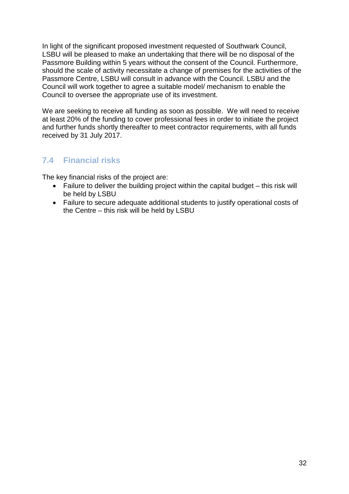In light of the significant proposed investment requested of Southwark Council, LSBU will be pleased to make an undertaking that there will be no disposal of the Passmore Building within 5 years without the consent of the Council. Furthermore, should the scale of activity necessitate a change of premises for the activities of the Passmore Centre, LSBU will consult in advance with the Council. LSBU and the Council will work together to agree a suitable model/ mechanism to enable the Council to oversee the appropriate use of its investment.

We are seeking to receive all funding as soon as possible. We will need to receive at least 20% of the funding to cover professional fees in order to initiate the project and further funds shortly thereafter to meet contractor requirements, with all funds received by 31 July 2017.

# <span id="page-32-0"></span>**7.4 Financial risks**

The key financial risks of the project are:

- Failure to deliver the building project within the capital budget this risk will be held by LSBU
- Failure to secure adequate additional students to justify operational costs of the Centre – this risk will be held by LSBU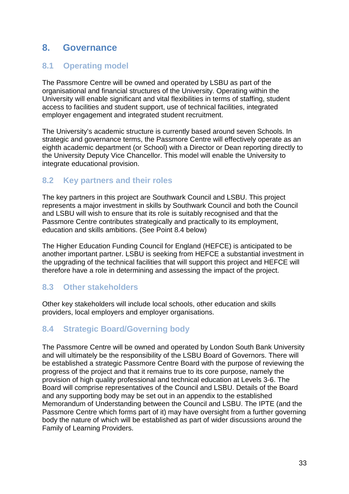# <span id="page-33-0"></span>**8. Governance**

# <span id="page-33-1"></span>**8.1 Operating model**

The Passmore Centre will be owned and operated by LSBU as part of the organisational and financial structures of the University. Operating within the University will enable significant and vital flexibilities in terms of staffing, student access to facilities and student support, use of technical facilities, integrated employer engagement and integrated student recruitment.

The University's academic structure is currently based around seven Schools. In strategic and governance terms, the Passmore Centre will effectively operate as an eighth academic department (or School) with a Director or Dean reporting directly to the University Deputy Vice Chancellor. This model will enable the University to integrate educational provision.

#### <span id="page-33-2"></span>**8.2 Key partners and their roles**

The key partners in this project are Southwark Council and LSBU. This project represents a major investment in skills by Southwark Council and both the Council and LSBU will wish to ensure that its role is suitably recognised and that the Passmore Centre contributes strategically and practically to its employment, education and skills ambitions. (See Point 8.4 below)

The Higher Education Funding Council for England (HEFCE) is anticipated to be another important partner. LSBU is seeking from HEFCE a substantial investment in the upgrading of the technical facilities that will support this project and HEFCE will therefore have a role in determining and assessing the impact of the project.

# <span id="page-33-3"></span>**8.3 Other stakeholders**

Other key stakeholders will include local schools, other education and skills providers, local employers and employer organisations.

# <span id="page-33-4"></span>**8.4 Strategic Board/Governing body**

The Passmore Centre will be owned and operated by London South Bank University and will ultimately be the responsibility of the LSBU Board of Governors. There will be established a strategic Passmore Centre Board with the purpose of reviewing the progress of the project and that it remains true to its core purpose, namely the provision of high quality professional and technical education at Levels 3-6. The Board will comprise representatives of the Council and LSBU. Details of the Board and any supporting body may be set out in an appendix to the established Memorandum of Understanding between the Council and LSBU. The IPTE (and the Passmore Centre which forms part of it) may have oversight from a further governing body the nature of which will be established as part of wider discussions around the Family of Learning Providers.